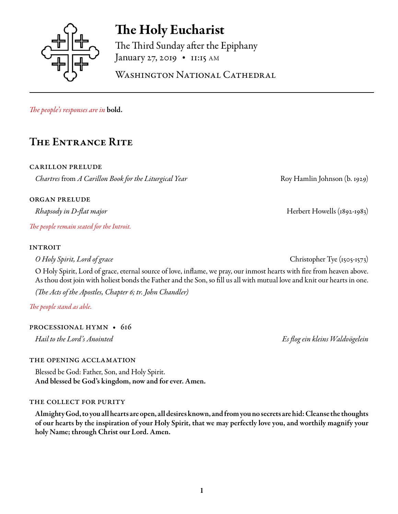

# The Holy Eucharist

The Third Sunday after the Epiphany January 27, 2019 • II:15 AM

WASHINGTON NATIONAL CATHEDRAL

*The people's responses are in* bold.

# THE ENTRANCE RITE

# carillon prelude

*Chartres* from *A Carillon Book for the Liturgical Year* **Roy Hamlin Johnson** (b. 1929)

# organ prelude

*The people remain seated for the Introit.*

# **INTROIT**

*O Holy Spirit, Lord of grace* Christopher Tye (1505-1573)

O Holy Spirit, Lord of grace, eternal source of love, inflame, we pray, our inmost hearts with fire from heaven above. As thou dost join with holiest bonds the Father and the Son, so fill us all with mutual love and knit our hearts in one.

*(The Acts of the Apostles, Chapter 6; tr. John Chandler)*

*The people stand as able.* 

# processional hymn • 616

# *Hail to the Lord's Anointed Es flog ein kleins Waldvögelein*

# the opening acclamation

Blessed be God: Father, Son, and Holy Spirit. And blessed be God's kingdom, now and for ever. Amen.

# the collect for purity

Almighty God, to you all hearts are open, all desires known, and from you no secrets are hid: Cleanse the thoughts of our hearts by the inspiration of your Holy Spirit, that we may perfectly love you, and worthily magnify your holy Name; through Christ our Lord. Amen.

*Rhapsody in D-flat major*  $H$  *Rhapsody in D-flat major* 

1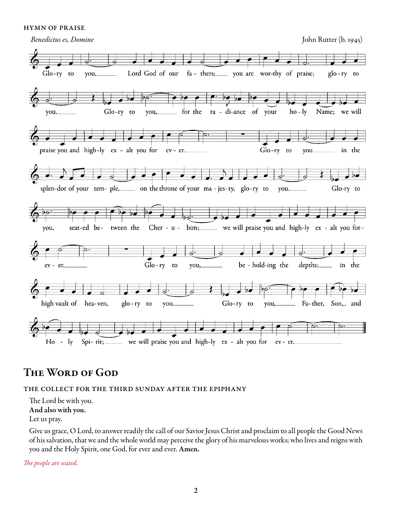#### hymn of praise

*Benedictus es, Domine* John Rutter (b. 1945) Glo-ry to Lord God of our fa-thers; you are wor-thy of praise; you,  $g$ lo-ry to ba you. Glo-ry to for the ra - di-ance of your  $ho - ly$ Name: we will you, praise you and high-ly ex - alt you for Glo-ry to  $ev - cr.$ you. in the on the throne of your ma - jes-ty, glo-ry to splen-dor of your tem- ple, you. Glo-ry to Cher - u seat-ed between the  $\lim$ . we will praise you and high-ly ex - alt you foryou, Glo-ry to be - hold-ing the depths;  $ev$ er. you, in the ठ high vault of hea-ven,  $Son_{n}$  and  $g$ lo-ry to you. Glo-ry to you, Fa-ther,  $Ho - ly$ we will praise you and high-ly ex - alt you for Spi-rit;  $ev - cr$ .

# THE WORD OF GOD

# the collect for the third sunday after the epiphany

The Lord be with you.

#### And also with you.

Let us pray.

Give us grace, O Lord, to answer readily the call of our Savior Jesus Christ and proclaim to all people the Good News of his salvation, that we and the whole world may perceive the glory of his marvelous works; who lives and reigns with you and the Holy Spirit, one God, for ever and ever. Amen.

*The people are seated.*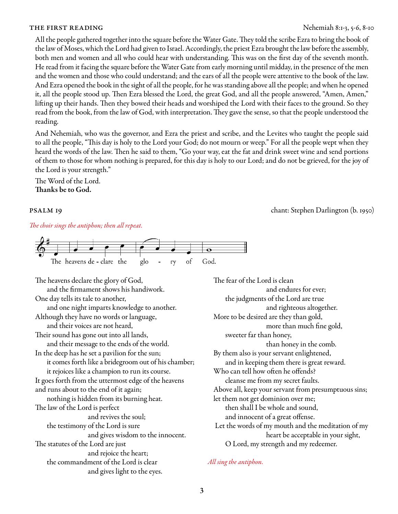#### THE FIRST READING Nehemiah 8:1-3, 5-6, 8-10

All the people gathered together into the square before the Water Gate. They told the scribe Ezra to bring the book of the law of Moses, which the Lord had given to Israel. Accordingly, the priest Ezra brought the law before the assembly, both men and women and all who could hear with understanding. This was on the first day of the seventh month. He read from it facing the square before the Water Gate from early morning until midday, in the presence of the men and the women and those who could understand; and the ears of all the people were attentive to the book of the law. And Ezra opened the book in the sight of all the people, for he was standing above all the people; and when he opened it, all the people stood up. Then Ezra blessed the Lord, the great God, and all the people answered, "Amen, Amen," lifting up their hands. Then they bowed their heads and worshiped the Lord with their faces to the ground. So they read from the book, from the law of God, with interpretation. They gave the sense, so that the people understood the reading.

And Nehemiah, who was the governor, and Ezra the priest and scribe, and the Levites who taught the people said to all the people, "This day is holy to the Lord your God; do not mourn or weep." For all the people wept when they heard the words of the law. Then he said to them, "Go your way, eat the fat and drink sweet wine and send portions of them to those for whom nothing is prepared, for this day is holy to our Lord; and do not be grieved, for the joy of the Lord is your strength."

The Word of the Lord. Thanks be to God.

#### psalm 19 chant: Stephen Darlington (b. 1950)

*The choir sings the antiphon; then all repeat.* 



The heavens declare the glory of God, and the firmament shows his handiwork. One day tells its tale to another, and one night imparts knowledge to another. Although they have no words or language, and their voices are not heard, Their sound has gone out into all lands, and their message to the ends of the world. In the deep has he set a pavilion for the sun; it comes forth like a bridegroom out of his chamber; it rejoices like a champion to run its course. It goes forth from the uttermost edge of the heavens and runs about to the end of it again; nothing is hidden from its burning heat. The law of the Lord is perfect and revives the soul; the testimony of the Lord is sure and gives wisdom to the innocent. The statutes of the Lord are just and rejoice the heart; the commandment of the Lord is clear and gives light to the eyes.

The fear of the Lord is clean and endures for ever; the judgments of the Lord are true and righteous altogether. More to be desired are they than gold, more than much fine gold, sweeter far than honey, than honey in the comb. By them also is your servant enlightened, and in keeping them there is great reward. Who can tell how often he offends? cleanse me from my secret faults. Above all, keep your servant from presumptuous sins; let them not get dominion over me; then shall I be whole and sound, and innocent of a great offense. Let the words of my mouth and the meditation of my heart be acceptable in your sight, O Lord, my strength and my redeemer.

#### *All sing the antiphon.*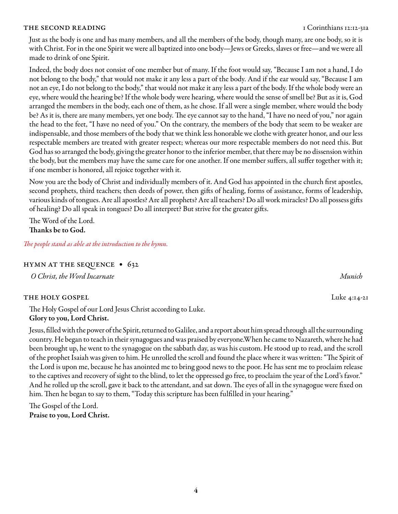#### THE SECOND READING THE SECOND READING

Just as the body is one and has many members, and all the members of the body, though many, are one body, so it is with Christ. For in the one Spirit we were all baptized into one body—Jews or Greeks, slaves or free—and we were all made to drink of one Spirit.

Indeed, the body does not consist of one member but of many. If the foot would say, "Because I am not a hand, I do not belong to the body," that would not make it any less a part of the body. And if the ear would say, "Because I am not an eye, I do not belong to the body," that would not make it any less a part of the body. If the whole body were an eye, where would the hearing be? If the whole body were hearing, where would the sense of smell be? But as it is, God arranged the members in the body, each one of them, as he chose. If all were a single member, where would the body be? As it is, there are many members, yet one body. The eye cannot say to the hand, "I have no need of you," nor again the head to the feet, "I have no need of you." On the contrary, the members of the body that seem to be weaker are indispensable, and those members of the body that we think less honorable we clothe with greater honor, and our less respectable members are treated with greater respect; whereas our more respectable members do not need this. But God has so arranged the body, giving the greater honor to the inferior member, that there may be no dissension within the body, but the members may have the same care for one another. If one member suffers, all suffer together with it; if one member is honored, all rejoice together with it.

Now you are the body of Christ and individually members of it. And God has appointed in the church first apostles, second prophets, third teachers; then deeds of power, then gifts of healing, forms of assistance, forms of leadership, various kinds of tongues. Are all apostles? Are all prophets? Are all teachers? Do all work miracles? Do all possess gifts of healing? Do all speak in tongues? Do all interpret? But strive for the greater gifts.

The Word of the Lord. Thanks be to God.

*The people stand as able at the introduction to the hymn.* 

# hymn at the sequence • 632

 *O Christ, the Word Incarnate Munich*

# THE HOLY GOSPEL Luke 4:14-21

The Holy Gospel of our Lord Jesus Christ according to Luke. Glory to you, Lord Christ.

Jesus, filled with the power of the Spirit, returned to Galilee, and a report about him spread through all the surrounding country. He began to teach in their synagogues and was praised by everyone.When he came to Nazareth, where he had been brought up, he went to the synagogue on the sabbath day, as was his custom. He stood up to read, and the scroll of the prophet Isaiah was given to him. He unrolled the scroll and found the place where it was written: "The Spirit of the Lord is upon me, because he has anointed me to bring good news to the poor. He has sent me to proclaim release to the captives and recovery of sight to the blind, to let the oppressed go free, to proclaim the year of the Lord's favor." And he rolled up the scroll, gave it back to the attendant, and sat down. The eyes of all in the synagogue were fixed on him. Then he began to say to them, "Today this scripture has been fulfilled in your hearing."

The Gospel of the Lord. Praise to you, Lord Christ.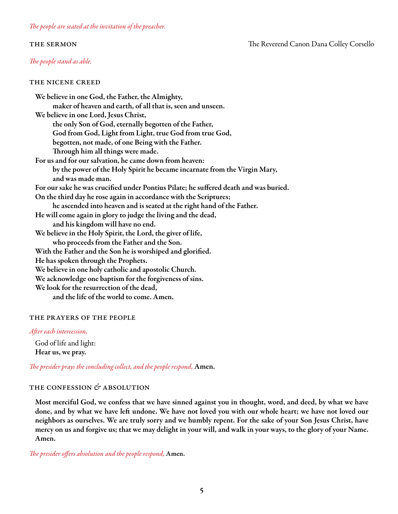THE SERMON THE SERMON THE Reverend Canon Dana Colley Corsello

*The people stand as able.*

### the nicene creed

| We believe in one God, the Father, the Almighty,                                      |
|---------------------------------------------------------------------------------------|
| maker of heaven and earth, of all that is, seen and unseen.                           |
| We believe in one Lord, Jesus Christ,                                                 |
| the only Son of God, eternally begotten of the Father,                                |
| God from God, Light from Light, true God from true God,                               |
| begotten, not made, of one Being with the Father.                                     |
| Through him all things were made.                                                     |
| For us and for our salvation, he came down from heaven:                               |
| by the power of the Holy Spirit he became incarnate from the Virgin Mary,             |
| and was made man.                                                                     |
| For our sake he was crucified under Pontius Pilate; he suffered death and was buried. |
| On the third day he rose again in accordance with the Scriptures;                     |
| he ascended into heaven and is seated at the right hand of the Father.                |
| He will come again in glory to judge the living and the dead,                         |
| and his kingdom will have no end.                                                     |
| We believe in the Holy Spirit, the Lord, the giver of life,                           |
| who proceeds from the Father and the Son.                                             |
| With the Father and the Son he is worshiped and glorified.                            |
| He has spoken through the Prophets.                                                   |
| We believe in one holy catholic and apostolic Church.                                 |
| We acknowledge one baptism for the forgiveness of sins.                               |
| We look for the resurrection of the dead,                                             |
| and the life of the world to come. Amen.                                              |
|                                                                                       |

# the prayers of the people

*After each intercession,*

God of life and light: Hear us, we pray.

*The presider prays the concluding collect, and the people respond,* Amen.

# the confession *&* absolution

Most merciful God, we confess that we have sinned against you in thought, word, and deed, by what we have done, and by what we have left undone. We have not loved you with our whole heart; we have not loved our neighbors as ourselves. We are truly sorry and we humbly repent. For the sake of your Son Jesus Christ, have mercy on us and forgive us; that we may delight in your will, and walk in your ways, to the glory of your Name. Amen.

*The presider offers absolution and the people respond,* Amen.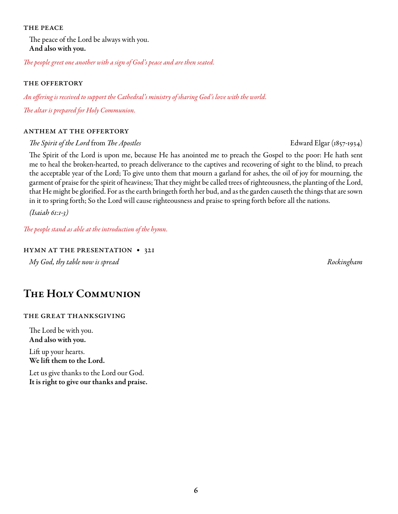#### THE PEACE

The peace of the Lord be always with you. And also with you.

*The people greet one another with a sign of God's peace and are then seated.*

# the offertory

*An offering is received to support the Cathedral's ministry of sharing God's love with the world. The altar is prepared for Holy Communion.*

# anthem at the offertory

# *The Spirit of the Lord* from *The Apostles* Edward Elgar (1857-1934)

The Spirit of the Lord is upon me, because He has anointed me to preach the Gospel to the poor: He hath sent me to heal the broken-hearted, to preach deliverance to the captives and recovering of sight to the blind, to preach the acceptable year of the Lord; To give unto them that mourn a garland for ashes, the oil of joy for mourning, the garment of praise for the spirit of heaviness; That they might be called trees of righteousness, the planting of the Lord, that He might be glorified. For as the earth bringeth forth her bud, and as the garden causeth the things that are sown in it to spring forth; So the Lord will cause righteousness and praise to spring forth before all the nations.

*(Isaiah 61:1-3)*

*The people stand as able at the introduction of the hymn.* 

hymn at the presentation • 321

*My God, thy table now is spread Rockingham*

# The Holy Communion

# the great thanksgiving

The Lord be with you. And also with you.

Lift up your hearts. We lift them to the Lord.

Let us give thanks to the Lord our God. It is right to give our thanks and praise.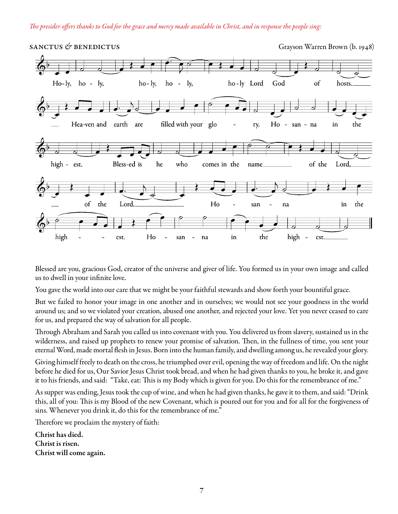# *The presider offers thanks to God for the grace and mercy made available in Christ, and in response the people sing:*



Blessed are you, gracious God, creator of the universe and giver of life. You formed us in your own image and called us to dwell in your infinite love.

You gave the world into our care that we might be your faithful stewards and show forth your bountiful grace.

But we failed to honor your image in one another and in ourselves; we would not see your goodness in the world around us; and so we violated your creation, abused one another, and rejected your love. Yet you never ceased to care for us, and prepared the way of salvation for all people.

Through Abraham and Sarah you called us into covenant with you. You delivered us from slavery, sustained us in the wilderness, and raised up prophets to renew your promise of salvation. Then, in the fullness of time, you sent your eternal Word, made mortal flesh in Jesus. Born into the human family, and dwelling among us, he revealed your glory.

Giving himself freely to death on the cross, he triumphed over evil, opening the way of freedom and life. On the night before he died for us, Our Savior Jesus Christ took bread, and when he had given thanks to you, he broke it, and gave it to his friends, and said: "Take, eat: This is my Body which is given for you. Do this for the remembrance of me."

As supper was ending, Jesus took the cup of wine, and when he had given thanks, he gave it to them, and said: "Drink this, all of you: This is my Blood of the new Covenant, which is poured out for you and for all for the forgiveness of sins. Whenever you drink it, do this for the remembrance of me."

Therefore we proclaim the mystery of faith:

Christ has died. Christ is risen. Christ will come again.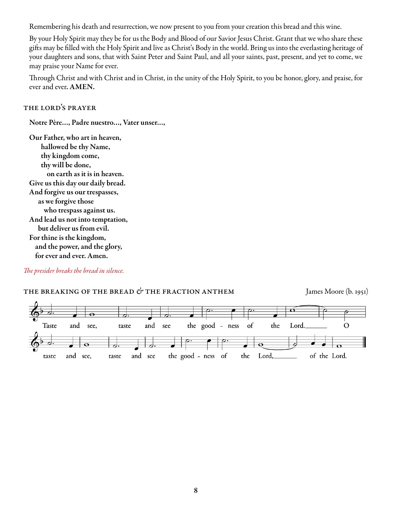Remembering his death and resurrection, we now present to you from your creation this bread and this wine.

By your Holy Spirit may they be for us the Body and Blood of our Savior Jesus Christ. Grant that we who share these gifts may be filled with the Holy Spirit and live as Christ's Body in the world. Bring us into the everlasting heritage of your daughters and sons, that with Saint Peter and Saint Paul, and all your saints, past, present, and yet to come, we may praise your Name for ever.

Through Christ and with Christ and in Christ, in the unity of the Holy Spirit, to you be honor, glory, and praise, for ever and ever. AMEN.

# the lord's prayer

Notre Père…, Padre nuestro…, Vater unser…,

Our Father, who art in heaven, hallowed be thy Name, thy kingdom come, thy will be done, on earth as it is in heaven. Give us this day our daily bread. And forgive us our trespasses, as we forgive those who trespass against us. And lead us not into temptation, but deliver us from evil. For thine is the kingdom, and the power, and the glory, for ever and ever. Amen.

*The presider breaks the bread in silence.*

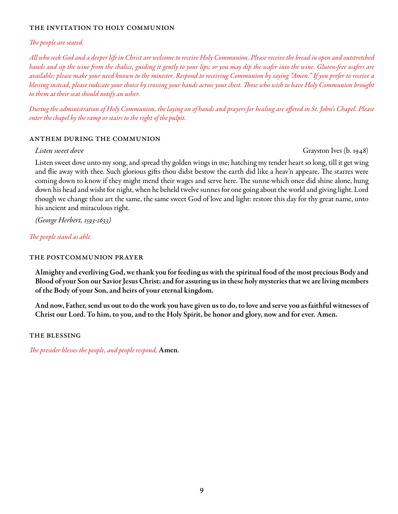# the invitation to holy communion

# *The people are seated.*

*All who seek God and a deeper life in Christ are welcome to receive Holy Communion. Please receive the bread in open and outstretched hands and sip the wine from the chalice, guiding it gently to your lips; or you may dip the wafer into the wine. Gluten-free wafers are available; please make your need known to the minister. Respond to receiving Communion by saying "Amen." If you prefer to receive a blessing instead, please indicate your choice by crossing your hands across your chest. Those who wish to have Holy Communion brought to them at their seat should notify an usher.* 

*During the administration of Holy Communion, the laying on of hands and prayers for healing are offered in St. John's Chapel. Please enter the chapel by the ramp or stairs to the right of the pulpit.*

# anthem during the communion

*Listen sweet dove* Grayston Ives (b. 1948)

Listen sweet dove unto my song, and spread thy golden wings in me; hatching my tender heart so long, till it get wing and flie away with thee. Such glorious gifts thou didst bestow the earth did like a heav'n appeare, The starres were coming down to know if they might mend their wages and serve here. The sunne which once did shine alone, hung down his head and wisht for night, when he beheld twelve sunnes for one going about the world and giving light. Lord though we change thou art the same, the same sweet God of love and light: restore this day for thy great name, unto his ancient and miraculous right.

*(George Herbert, 1593-1633)*

*The people stand as able.* 

# the postcommunion prayer

Almighty and everliving God, we thank you for feeding us with the spiritual food of the most precious Body and Blood of your Son our Savior Jesus Christ; and for assuring us in these holy mysteries that we are living members of the Body of your Son, and heirs of your eternal kingdom.

And now, Father, send us out to do the work you have given us to do, to love and serve you as faithful witnesses of Christ our Lord. To him, to you, and to the Holy Spirit, be honor and glory, now and for ever. Amen.

# the blessing

*The presider blesses the people, and people respond,* Amen*.*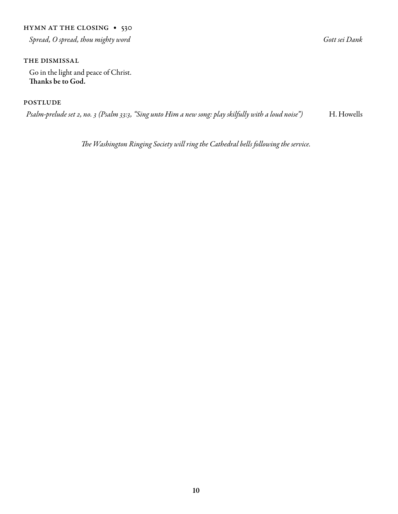### hymn at the closing • 530

*Spread, O spread, thou mighty word Gott sei Dank*

# THE DISMISSAL

Go in the light and peace of Christ. Thanks be to God.

#### **POSTLUDE**

*Psalm-prelude set 2, no. 3 (Psalm 33:3, "Sing unto Him a new song: play skilfully with a loud noise")* H. Howells

*The Washington Ringing Society will ring the Cathedral bells following the service.*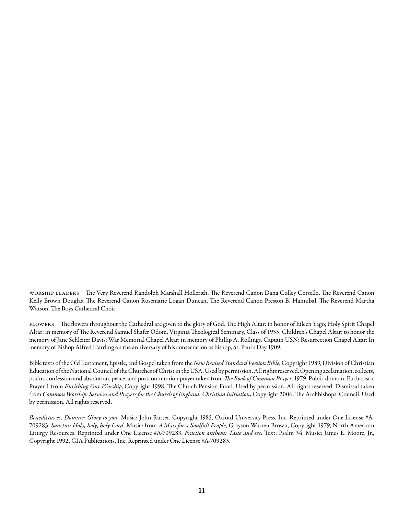worship leaders The Very Reverend Randolph Marshall Hollerith, The Reverend Canon Dana Colley Corsello, The Reverend Canon Kelly Brown Douglas, The Reverend Canon Rosemarie Logan Duncan, The Reverend Canon Preston B. Hannibal, The Reverend Martha Watson, The Boys Cathedral Choir.

flowers The flowers throughout the Cathedral are given to the glory of God. The High Altar: in honor of Eileen Yago; Holy Spirit Chapel Altar: in memory of The Reverend Samuel Shafer Odom, Virginia Theological Seminary, Class of 1953; Children's Chapel Altar: to honor the memory of Jane Schleiter Davis; War Memorial Chapel Altar: in memory of Phillip A. Rollings, Captain USN; Resurrection Chapel Altar: In memory of Bishop Alfred Harding on the anniversary of his consecration as bishop, St. Paul's Day 1909.

Bible texts of the Old Testament, Epistle, and Gospel taken from the *New Revised Standard Version Bible*, Copyright 1989, Division of Christian Education of the National Council of the Churches of Christ in the USA. Used by permission. All rights reserved. Opening acclamation, collects, psalm, confession and absolution, peace, and postcommunion prayer taken from *The Book of Common Prayer*, 1979. Public domain. Eucharistic Prayer 1 from *Enriching Our Worship*, Copyright 1998, The Church Pension Fund. Used by permission. All rights reserved. Dismissal taken from *Common Worship: Services and Prayers for the Church of England: Christian Initiation*, Copyright 2006, The Archbishops' Council. Used by permission. All rights reserved.

*Benedictus es, Domine: Glory to you.* Music: John Rutter, Copyright 1985, Oxford University Press, Inc. Reprinted under One License #A-709283. *Sanctus: Holy, holy, holy Lord.* Music: from *A Mass for a Soulfull People*, Grayson Warren Brown, Copyright 1979, North American Liturgy Resources. Reprinted under One License #A-709283. *Fraction anthem: Taste and see*. Text: Psalm 34. Music: James E. Moore, Jr., Copyright 1992, GIA Publications, Inc. Reprinted under One License #A-709283.